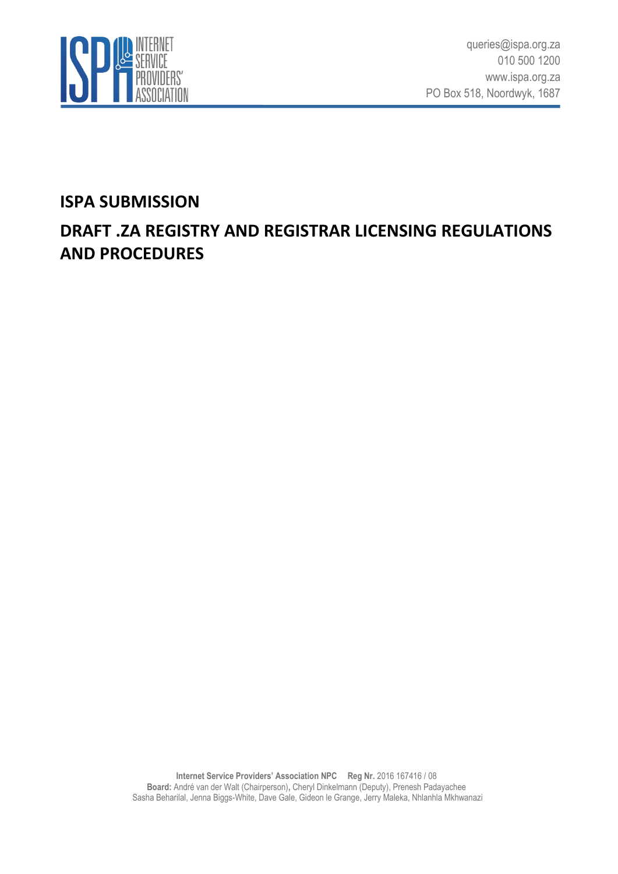

## **ISPA SUBMISSION**

# **DRAFT .ZA REGISTRY AND REGISTRAR LICENSING REGULATIONS AND PROCEDURES**

**Internet Service Providers' Association NPC Reg Nr.** 2016 167416 / 08 **Board:** André van der Walt (Chairperson)**,** Cheryl Dinkelmann (Deputy), Prenesh Padayachee Sasha Beharilal, Jenna Biggs-White, Dave Gale, Gideon le Grange, Jerry Maleka, Nhlanhla Mkhwanazi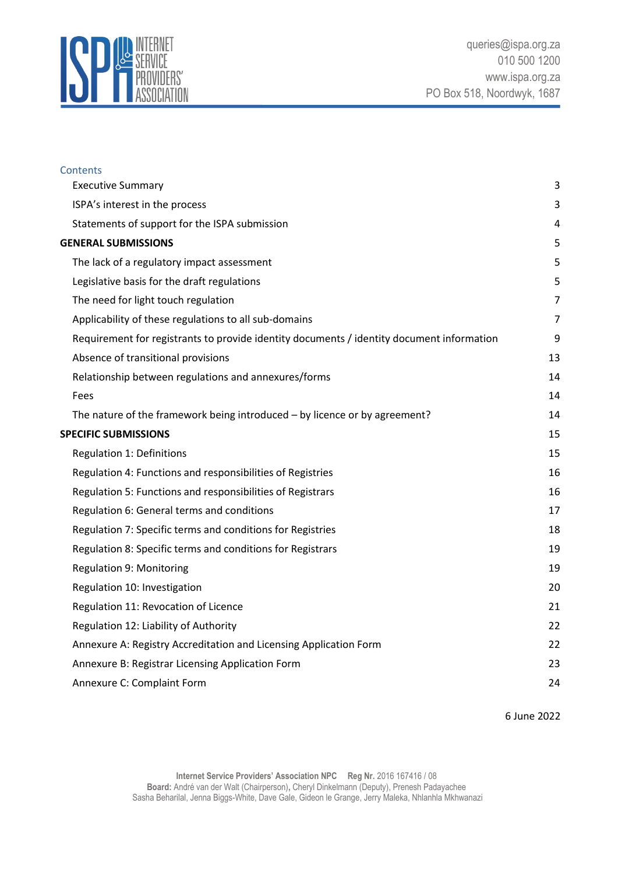

| <b>Contents</b>                                                                           |                |
|-------------------------------------------------------------------------------------------|----------------|
| <b>Executive Summary</b>                                                                  | 3              |
| ISPA's interest in the process                                                            | 3              |
| Statements of support for the ISPA submission                                             | 4              |
| <b>GENERAL SUBMISSIONS</b>                                                                | 5              |
| The lack of a regulatory impact assessment                                                | 5              |
| Legislative basis for the draft regulations                                               | 5              |
| The need for light touch regulation                                                       | $\overline{7}$ |
| Applicability of these regulations to all sub-domains                                     | 7              |
| Requirement for registrants to provide identity documents / identity document information | 9              |
| Absence of transitional provisions                                                        | 13             |
| Relationship between regulations and annexures/forms                                      | 14             |
| Fees                                                                                      | 14             |
| The nature of the framework being introduced - by licence or by agreement?                | 14             |
| <b>SPECIFIC SUBMISSIONS</b>                                                               | 15             |
| <b>Regulation 1: Definitions</b>                                                          | 15             |
| Regulation 4: Functions and responsibilities of Registries                                | 16             |
| Regulation 5: Functions and responsibilities of Registrars                                | 16             |
| Regulation 6: General terms and conditions                                                | 17             |
| Regulation 7: Specific terms and conditions for Registries                                | 18             |
| Regulation 8: Specific terms and conditions for Registrars                                | 19             |
| <b>Regulation 9: Monitoring</b>                                                           | 19             |
| Regulation 10: Investigation                                                              | 20             |
| Regulation 11: Revocation of Licence                                                      | 21             |
| Regulation 12: Liability of Authority                                                     | 22             |
| Annexure A: Registry Accreditation and Licensing Application Form                         | 22             |
| Annexure B: Registrar Licensing Application Form                                          | 23             |
| Annexure C: Complaint Form                                                                | 24             |
|                                                                                           |                |

6 June 2022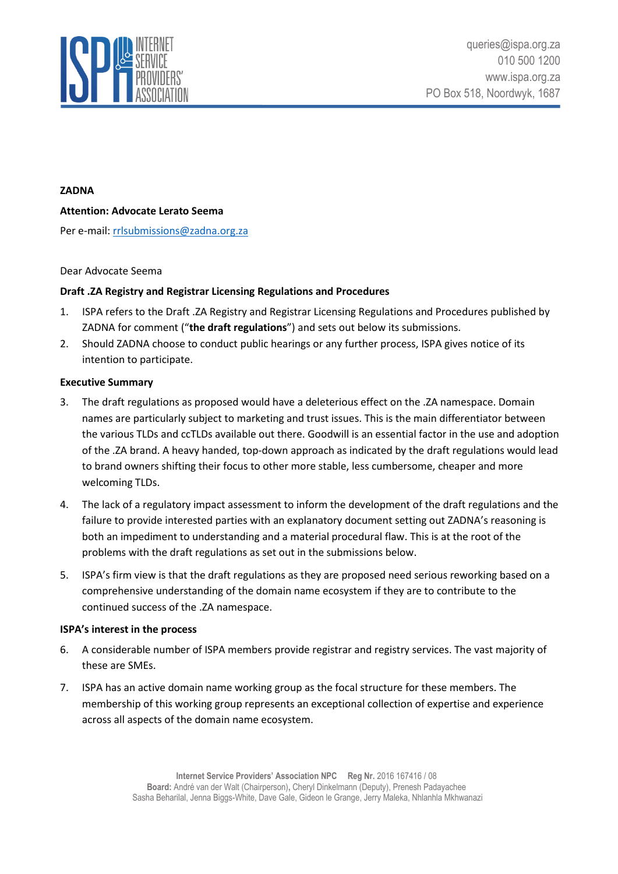

#### **ZADNA**

#### **Attention: Advocate Lerato Seema**

Per e-mail[: rrlsubmissions@zadna.org.za](mailto:rrlsubmissions@zadna.org.za)

#### Dear Advocate Seema

#### **Draft .ZA Registry and Registrar Licensing Regulations and Procedures**

- 1. ISPA refers to the Draft .ZA Registry and Registrar Licensing Regulations and Procedures published by ZADNA for comment ("**the draft regulations**") and sets out below its submissions.
- 2. Should ZADNA choose to conduct public hearings or any further process, ISPA gives notice of its intention to participate.

#### <span id="page-2-0"></span>**Executive Summary**

- 3. The draft regulations as proposed would have a deleterious effect on the .ZA namespace. Domain names are particularly subject to marketing and trust issues. This is the main differentiator between the various TLDs and ccTLDs available out there. Goodwill is an essential factor in the use and adoption of the .ZA brand. A heavy handed, top-down approach as indicated by the draft regulations would lead to brand owners shifting their focus to other more stable, less cumbersome, cheaper and more welcoming TLDs.
- 4. The lack of a regulatory impact assessment to inform the development of the draft regulations and the failure to provide interested parties with an explanatory document setting out ZADNA's reasoning is both an impediment to understanding and a material procedural flaw. This is at the root of the problems with the draft regulations as set out in the submissions below.
- 5. ISPA's firm view is that the draft regulations as they are proposed need serious reworking based on a comprehensive understanding of the domain name ecosystem if they are to contribute to the continued success of the .ZA namespace.

#### <span id="page-2-1"></span>**ISPA's interest in the process**

- 6. A considerable number of ISPA members provide registrar and registry services. The vast majority of these are SMEs.
- 7. ISPA has an active domain name working group as the focal structure for these members. The membership of this working group represents an exceptional collection of expertise and experience across all aspects of the domain name ecosystem.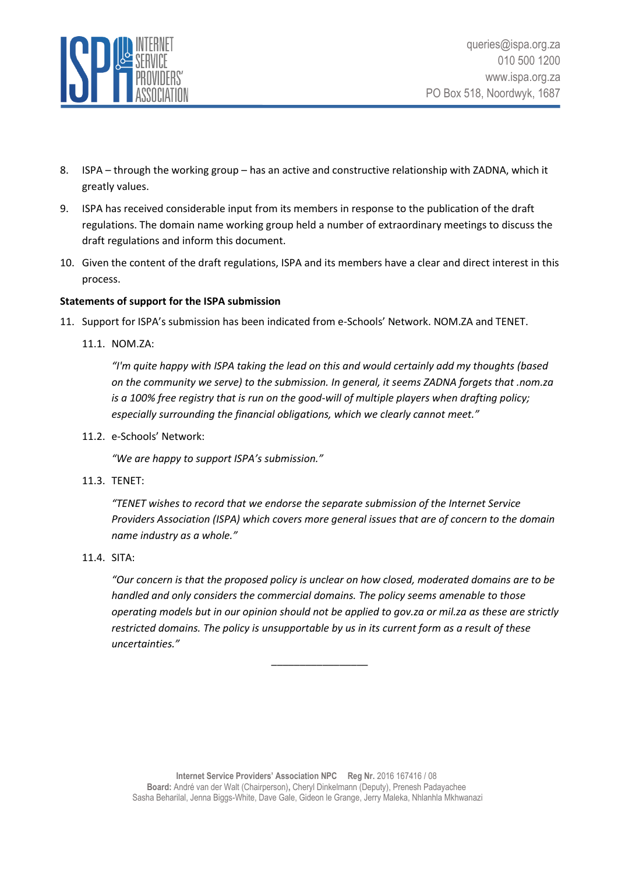

- 8. ISPA through the working group has an active and constructive relationship with ZADNA, which it greatly values.
- 9. ISPA has received considerable input from its members in response to the publication of the draft regulations. The domain name working group held a number of extraordinary meetings to discuss the draft regulations and inform this document.
- 10. Given the content of the draft regulations, ISPA and its members have a clear and direct interest in this process.

## <span id="page-3-0"></span>**Statements of support for the ISPA submission**

- 11. Support for ISPA's submission has been indicated from e-Schools' Network. NOM.ZA and TENET.
	- 11.1. NOM.ZA:

*"I'm quite happy with ISPA taking the lead on this and would certainly add my thoughts (based on the community we serve) to the submission. In general, it seems ZADNA forgets that .nom.za is a 100% free registry that is run on the good-will of multiple players when drafting policy; especially surrounding the financial obligations, which we clearly cannot meet."*

11.2. e-Schools' Network:

*"We are happy to support ISPA's submission."*

11.3. TENET:

*"TENET wishes to record that we endorse the separate submission of the Internet Service Providers Association (ISPA) which covers more general issues that are of concern to the domain name industry as a whole."*

11.4. SITA:

*"Our concern is that the proposed policy is unclear on how closed, moderated domains are to be handled and only considers the commercial domains. The policy seems amenable to those operating models but in our opinion should not be applied to gov.za or mil.za as these are strictly restricted domains. The policy is unsupportable by us in its current form as a result of these uncertainties."*

\_\_\_\_\_\_\_\_\_\_\_\_\_\_\_\_\_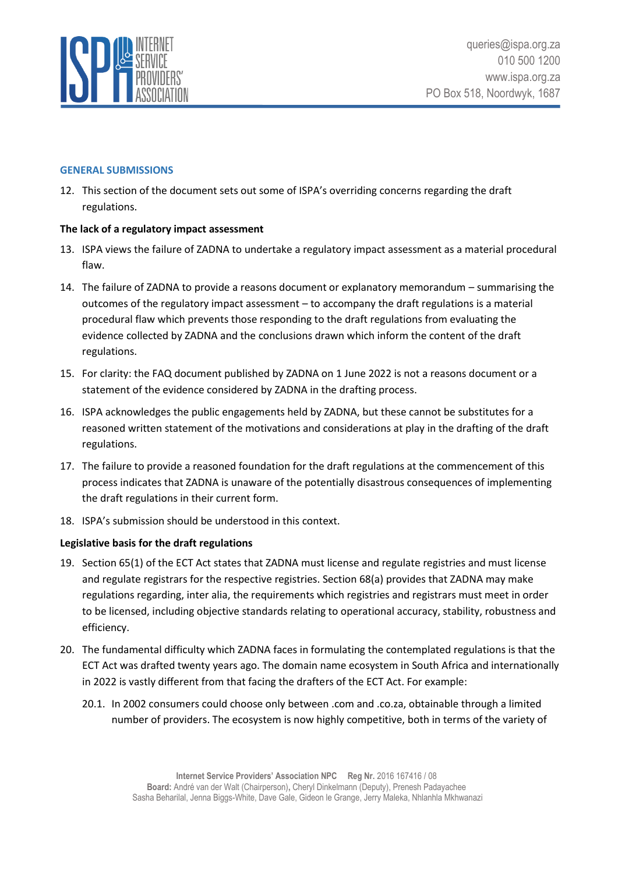

#### <span id="page-4-0"></span>**GENERAL SUBMISSIONS**

12. This section of the document sets out some of ISPA's overriding concerns regarding the draft regulations.

## <span id="page-4-1"></span>**The lack of a regulatory impact assessment**

- 13. ISPA views the failure of ZADNA to undertake a regulatory impact assessment as a material procedural flaw.
- 14. The failure of ZADNA to provide a reasons document or explanatory memorandum summarising the outcomes of the regulatory impact assessment – to accompany the draft regulations is a material procedural flaw which prevents those responding to the draft regulations from evaluating the evidence collected by ZADNA and the conclusions drawn which inform the content of the draft regulations.
- 15. For clarity: the FAQ document published by ZADNA on 1 June 2022 is not a reasons document or a statement of the evidence considered by ZADNA in the drafting process.
- 16. ISPA acknowledges the public engagements held by ZADNA, but these cannot be substitutes for a reasoned written statement of the motivations and considerations at play in the drafting of the draft regulations.
- 17. The failure to provide a reasoned foundation for the draft regulations at the commencement of this process indicates that ZADNA is unaware of the potentially disastrous consequences of implementing the draft regulations in their current form.
- 18. ISPA's submission should be understood in this context.

## <span id="page-4-2"></span>**Legislative basis for the draft regulations**

- 19. Section 65(1) of the ECT Act states that ZADNA must license and regulate registries and must license and regulate registrars for the respective registries. Section 68(a) provides that ZADNA may make regulations regarding, inter alia, the requirements which registries and registrars must meet in order to be licensed, including objective standards relating to operational accuracy, stability, robustness and efficiency.
- 20. The fundamental difficulty which ZADNA faces in formulating the contemplated regulations is that the ECT Act was drafted twenty years ago. The domain name ecosystem in South Africa and internationally in 2022 is vastly different from that facing the drafters of the ECT Act. For example:
	- 20.1. In 2002 consumers could choose only between .com and .co.za, obtainable through a limited number of providers. The ecosystem is now highly competitive, both in terms of the variety of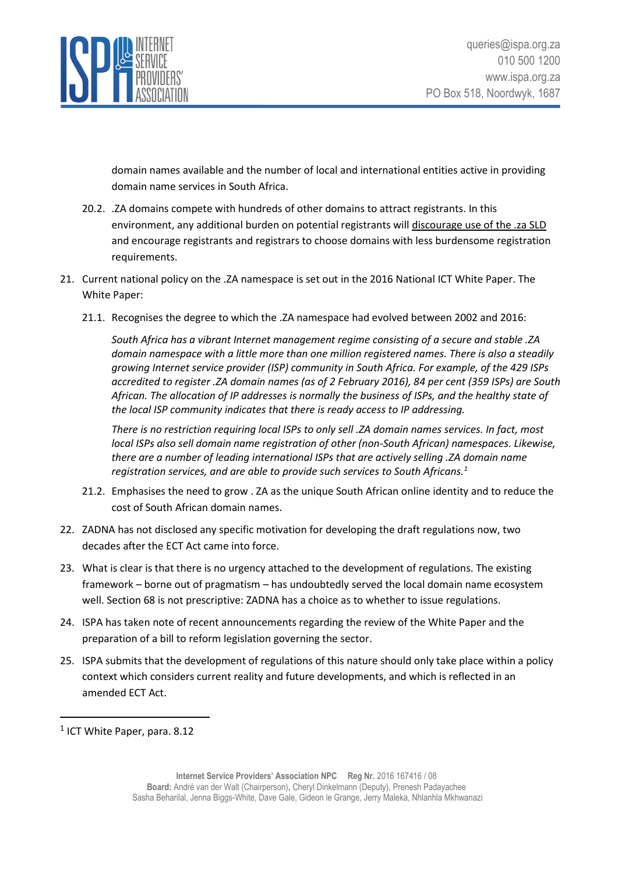

domain names available and the number of local and international entities active in providing domain name services in South Africa.

- 20.2. .ZA domains compete with hundreds of other domains to attract registrants. In this environment, any additional burden on potential registrants will discourage use of the .za SLD and encourage registrants and registrars to choose domains with less burdensome registration requirements.
- 21. Current national policy on the .ZA namespace is set out in the 2016 National ICT White Paper. The White Paper:
	- 21.1. Recognises the degree to which the .ZA namespace had evolved between 2002 and 2016:

*South Africa has a vibrant Internet management regime consisting of a secure and stable .ZA domain namespace with a little more than one million registered names. There is also a steadily growing Internet service provider (ISP) community in South Africa. For example, of the 429 ISPs accredited to register .ZA domain names (as of 2 February 2016), 84 per cent (359 ISPs) are South African. The allocation of IP addresses is normally the business of ISPs, and the healthy state of the local ISP community indicates that there is ready access to IP addressing.*

*There is no restriction requiring local ISPs to only sell .ZA domain names services. In fact, most local ISPs also sell domain name registration of other (non-South African) namespaces. Likewise, there are a number of leading international ISPs that are actively selling .ZA domain name registration services, and are able to provide such services to South Africans.<sup>1</sup>*

- 21.2. Emphasises the need to grow . ZA as the unique South African online identity and to reduce the cost of South African domain names.
- 22. ZADNA has not disclosed any specific motivation for developing the draft regulations now, two decades after the ECT Act came into force.
- 23. What is clear is that there is no urgency attached to the development of regulations. The existing framework – borne out of pragmatism – has undoubtedly served the local domain name ecosystem well. Section 68 is not prescriptive: ZADNA has a choice as to whether to issue regulations.
- 24. ISPA has taken note of recent announcements regarding the review of the White Paper and the preparation of a bill to reform legislation governing the sector.
- 25. ISPA submits that the development of regulations of this nature should only take place within a policy context which considers current reality and future developments, and which is reflected in an amended ECT Act.

<sup>&</sup>lt;sup>1</sup> ICT White Paper, para. 8.12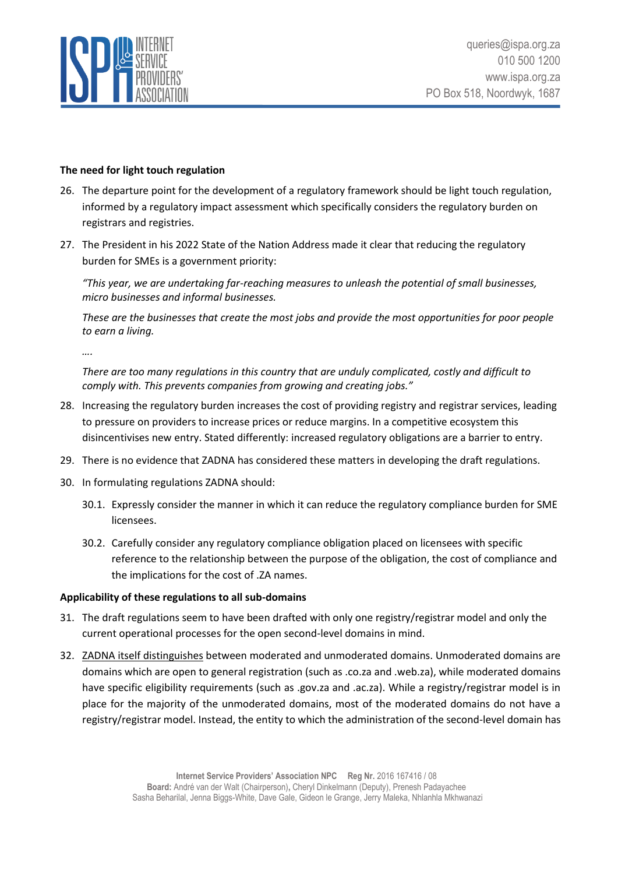

## <span id="page-6-0"></span>**The need for light touch regulation**

- 26. The departure point for the development of a regulatory framework should be light touch regulation, informed by a regulatory impact assessment which specifically considers the regulatory burden on registrars and registries.
- 27. The President in his 2022 State of the Nation Address made it clear that reducing the regulatory burden for SMEs is a government priority:

*"This year, we are undertaking far-reaching measures to unleash the potential of small businesses, micro businesses and informal businesses.* 

*These are the businesses that create the most jobs and provide the most opportunities for poor people to earn a living.*

*….*

*There are too many regulations in this country that are unduly complicated, costly and difficult to comply with. This prevents companies from growing and creating jobs."*

- 28. Increasing the regulatory burden increases the cost of providing registry and registrar services, leading to pressure on providers to increase prices or reduce margins. In a competitive ecosystem this disincentivises new entry. Stated differently: increased regulatory obligations are a barrier to entry.
- 29. There is no evidence that ZADNA has considered these matters in developing the draft regulations.
- 30. In formulating regulations ZADNA should:
	- 30.1. Expressly consider the manner in which it can reduce the regulatory compliance burden for SME licensees.
	- 30.2. Carefully consider any regulatory compliance obligation placed on licensees with specific reference to the relationship between the purpose of the obligation, the cost of compliance and the implications for the cost of .ZA names.

#### <span id="page-6-1"></span>**Applicability of these regulations to all sub-domains**

- 31. The draft regulations seem to have been drafted with only one registry/registrar model and only the current operational processes for the open second-level domains in mind.
- 32. [ZADNA itself distinguishes](https://www.zadna.org.za/publications/policies-and-legislations/) between moderated and unmoderated domains. Unmoderated domains are domains which are open to general registration (such as .co.za and .web.za), while moderated domains have specific eligibility requirements (such as .gov.za and .ac.za). While a registry/registrar model is in place for the majority of the unmoderated domains, most of the moderated domains do not have a registry/registrar model. Instead, the entity to which the administration of the second-level domain has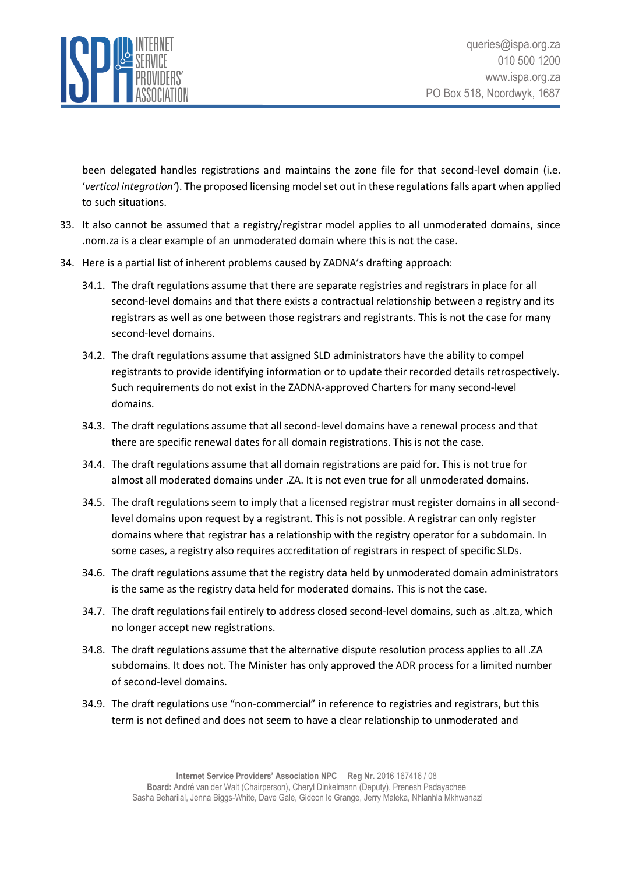

been delegated handles registrations and maintains the zone file for that second-level domain (i.e. '*vertical integration'*). The proposed licensing model set out in these regulations falls apart when applied to such situations.

- 33. It also cannot be assumed that a registry/registrar model applies to all unmoderated domains, since .nom.za is a clear example of an unmoderated domain where this is not the case.
- 34. Here is a partial list of inherent problems caused by ZADNA's drafting approach:
	- 34.1. The draft regulations assume that there are separate registries and registrars in place for all second-level domains and that there exists a contractual relationship between a registry and its registrars as well as one between those registrars and registrants. This is not the case for many second-level domains.
	- 34.2. The draft regulations assume that assigned SLD administrators have the ability to compel registrants to provide identifying information or to update their recorded details retrospectively. Such requirements do not exist in the ZADNA-approved Charters for many second-level domains.
	- 34.3. The draft regulations assume that all second-level domains have a renewal process and that there are specific renewal dates for all domain registrations. This is not the case.
	- 34.4. The draft regulations assume that all domain registrations are paid for. This is not true for almost all moderated domains under .ZA. It is not even true for all unmoderated domains.
	- 34.5. The draft regulations seem to imply that a licensed registrar must register domains in all secondlevel domains upon request by a registrant. This is not possible. A registrar can only register domains where that registrar has a relationship with the registry operator for a subdomain. In some cases, a registry also requires accreditation of registrars in respect of specific SLDs.
	- 34.6. The draft regulations assume that the registry data held by unmoderated domain administrators is the same as the registry data held for moderated domains. This is not the case.
	- 34.7. The draft regulations fail entirely to address closed second-level domains, such as .alt.za, which no longer accept new registrations.
	- 34.8. The draft regulations assume that the alternative dispute resolution process applies to all .ZA subdomains. It does not. The Minister has only approved the ADR process for a limited number of second-level domains.
	- 34.9. The draft regulations use "non-commercial" in reference to registries and registrars, but this term is not defined and does not seem to have a clear relationship to unmoderated and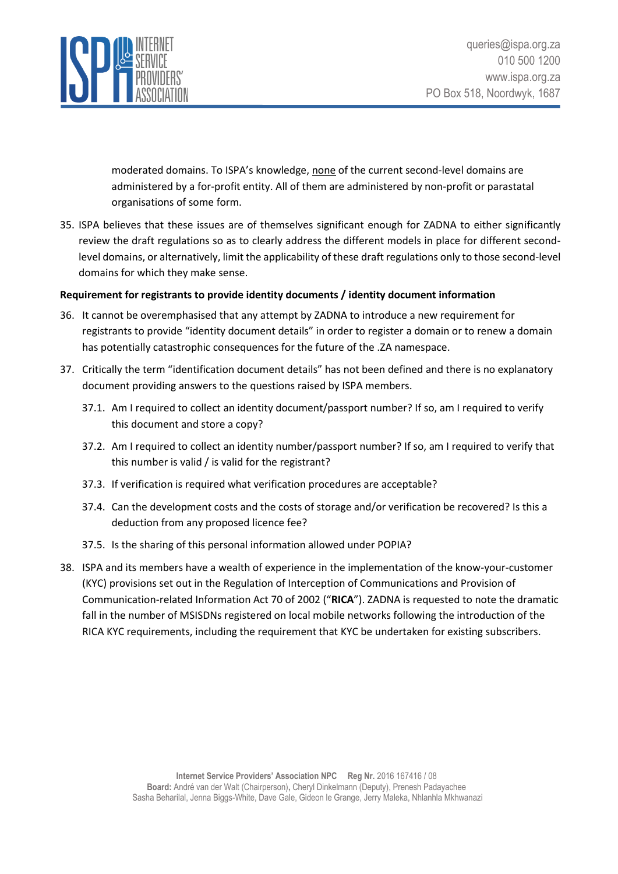

moderated domains. To ISPA's knowledge, none of the current second-level domains are administered by a for-profit entity. All of them are administered by non-profit or parastatal organisations of some form.

35. ISPA believes that these issues are of themselves significant enough for ZADNA to either significantly review the draft regulations so as to clearly address the different models in place for different secondlevel domains, or alternatively, limit the applicability of these draft regulations only to those second-level domains for which they make sense.

## <span id="page-8-0"></span>**Requirement for registrants to provide identity documents / identity document information**

- 36. It cannot be overemphasised that any attempt by ZADNA to introduce a new requirement for registrants to provide "identity document details" in order to register a domain or to renew a domain has potentially catastrophic consequences for the future of the .ZA namespace.
- 37. Critically the term "identification document details" has not been defined and there is no explanatory document providing answers to the questions raised by ISPA members.
	- 37.1. Am I required to collect an identity document/passport number? If so, am I required to verify this document and store a copy?
	- 37.2. Am I required to collect an identity number/passport number? If so, am I required to verify that this number is valid / is valid for the registrant?
	- 37.3. If verification is required what verification procedures are acceptable?
	- 37.4. Can the development costs and the costs of storage and/or verification be recovered? Is this a deduction from any proposed licence fee?
	- 37.5. Is the sharing of this personal information allowed under POPIA?
- 38. ISPA and its members have a wealth of experience in the implementation of the know-your-customer (KYC) provisions set out in the Regulation of Interception of Communications and Provision of Communication-related Information Act 70 of 2002 ("**RICA**"). ZADNA is requested to note the dramatic fall in the number of MSISDNs registered on local mobile networks following the introduction of the RICA KYC requirements, including the requirement that KYC be undertaken for existing subscribers.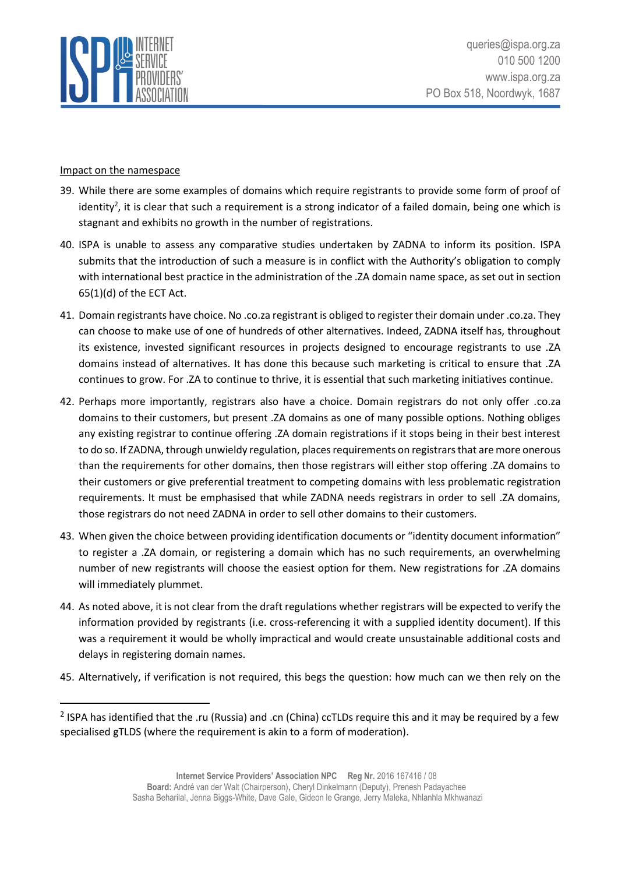

#### Impact on the namespace

- 39. While there are some examples of domains which require registrants to provide some form of proof of identity<sup>2</sup>, it is clear that such a requirement is a strong indicator of a failed domain, being one which is stagnant and exhibits no growth in the number of registrations.
- 40. ISPA is unable to assess any comparative studies undertaken by ZADNA to inform its position. ISPA submits that the introduction of such a measure is in conflict with the Authority's obligation to comply with international best practice in the administration of the .ZA domain name space, as set out in section 65(1)(d) of the ECT Act.
- 41. Domain registrants have choice. No .co.za registrant is obliged to register their domain under .co.za. They can choose to make use of one of hundreds of other alternatives. Indeed, ZADNA itself has, throughout its existence, invested significant resources in projects designed to encourage registrants to use .ZA domains instead of alternatives. It has done this because such marketing is critical to ensure that .ZA continues to grow. For .ZA to continue to thrive, it is essential that such marketing initiatives continue.
- 42. Perhaps more importantly, registrars also have a choice. Domain registrars do not only offer .co.za domains to their customers, but present .ZA domains as one of many possible options. Nothing obliges any existing registrar to continue offering .ZA domain registrations if it stops being in their best interest to do so. If ZADNA, through unwieldy regulation, places requirements on registrars that are more onerous than the requirements for other domains, then those registrars will either stop offering .ZA domains to their customers or give preferential treatment to competing domains with less problematic registration requirements. It must be emphasised that while ZADNA needs registrars in order to sell .ZA domains, those registrars do not need ZADNA in order to sell other domains to their customers.
- 43. When given the choice between providing identification documents or "identity document information" to register a .ZA domain, or registering a domain which has no such requirements, an overwhelming number of new registrants will choose the easiest option for them. New registrations for .ZA domains will immediately plummet.
- 44. As noted above, it is not clear from the draft regulations whether registrars will be expected to verify the information provided by registrants (i.e. cross-referencing it with a supplied identity document). If this was a requirement it would be wholly impractical and would create unsustainable additional costs and delays in registering domain names.
- 45. Alternatively, if verification is not required, this begs the question: how much can we then rely on the

<sup>&</sup>lt;sup>2</sup> ISPA has identified that the .ru (Russia) and .cn (China) ccTLDs require this and it may be required by a few specialised gTLDS (where the requirement is akin to a form of moderation).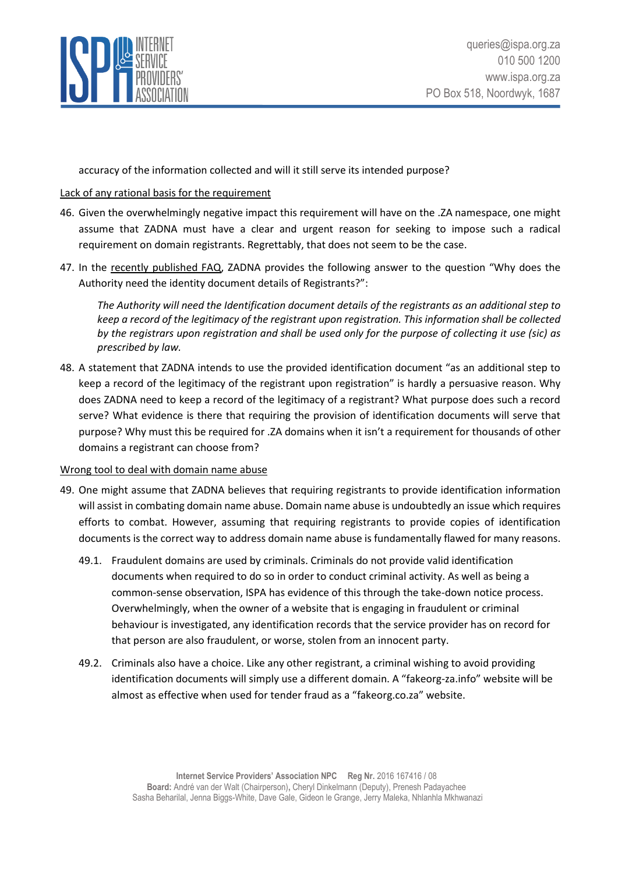

accuracy of the information collected and will it still serve its intended purpose?

## Lack of any rational basis for the requirement

- 46. Given the overwhelmingly negative impact this requirement will have on the .ZA namespace, one might assume that ZADNA must have a clear and urgent reason for seeking to impose such a radical requirement on domain registrants. Regrettably, that does not seem to be the case.
- 47. In the [recently published FAQ](https://www.zadna.org.za/wp-content/uploads/2022/03/Registry-and-Registrar-Licensing-Regulations-FAQa.pdf), ZADNA provides the following answer to the question "Why does the Authority need the identity document details of Registrants?":

*The Authority will need the Identification document details of the registrants as an additional step to keep a record of the legitimacy of the registrant upon registration. This information shall be collected by the registrars upon registration and shall be used only for the purpose of collecting it use (sic) as prescribed by law.*

48. A statement that ZADNA intends to use the provided identification document "as an additional step to keep a record of the legitimacy of the registrant upon registration" is hardly a persuasive reason. Why does ZADNA need to keep a record of the legitimacy of a registrant? What purpose does such a record serve? What evidence is there that requiring the provision of identification documents will serve that purpose? Why must this be required for .ZA domains when it isn't a requirement for thousands of other domains a registrant can choose from?

## Wrong tool to deal with domain name abuse

- 49. One might assume that ZADNA believes that requiring registrants to provide identification information will assist in combating domain name abuse. Domain name abuse is undoubtedly an issue which requires efforts to combat. However, assuming that requiring registrants to provide copies of identification documents is the correct way to address domain name abuse is fundamentally flawed for many reasons.
	- 49.1. Fraudulent domains are used by criminals. Criminals do not provide valid identification documents when required to do so in order to conduct criminal activity. As well as being a common-sense observation, ISPA has evidence of this through the take-down notice process. Overwhelmingly, when the owner of a website that is engaging in fraudulent or criminal behaviour is investigated, any identification records that the service provider has on record for that person are also fraudulent, or worse, stolen from an innocent party.
	- 49.2. Criminals also have a choice. Like any other registrant, a criminal wishing to avoid providing identification documents will simply use a different domain. A "fakeorg-za.info" website will be almost as effective when used for tender fraud as a "fakeorg.co.za" website.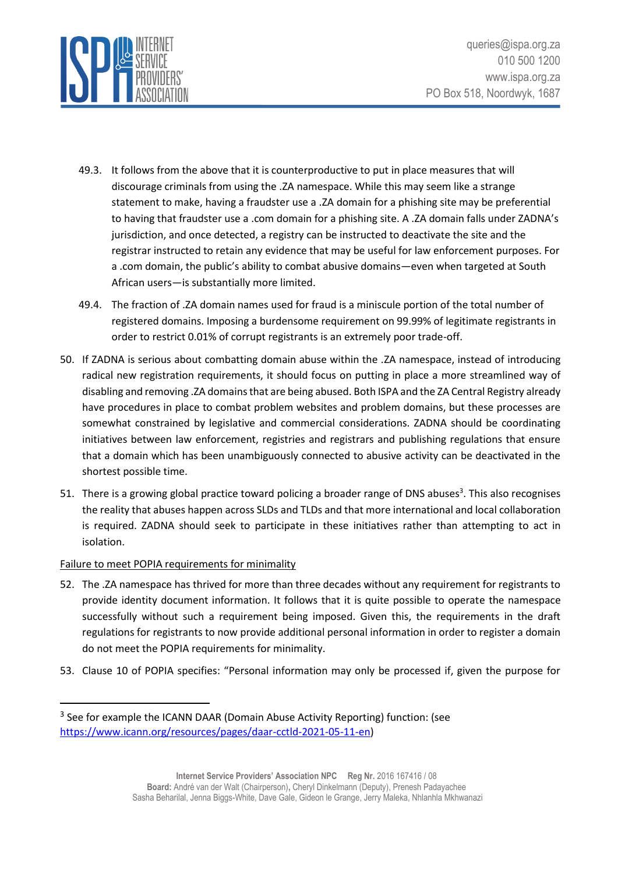

- 49.3. It follows from the above that it is counterproductive to put in place measures that will discourage criminals from using the .ZA namespace. While this may seem like a strange statement to make, having a fraudster use a .ZA domain for a phishing site may be preferential to having that fraudster use a .com domain for a phishing site. A .ZA domain falls under ZADNA's jurisdiction, and once detected, a registry can be instructed to deactivate the site and the registrar instructed to retain any evidence that may be useful for law enforcement purposes. For a .com domain, the public's ability to combat abusive domains—even when targeted at South African users—is substantially more limited.
- 49.4. The fraction of .ZA domain names used for fraud is a miniscule portion of the total number of registered domains. Imposing a burdensome requirement on 99.99% of legitimate registrants in order to restrict 0.01% of corrupt registrants is an extremely poor trade-off.
- 50. If ZADNA is serious about combatting domain abuse within the .ZA namespace, instead of introducing radical new registration requirements, it should focus on putting in place a more streamlined way of disabling and removing .ZA domains that are being abused. Both ISPA and the ZA Central Registry already have procedures in place to combat problem websites and problem domains, but these processes are somewhat constrained by legislative and commercial considerations. ZADNA should be coordinating initiatives between law enforcement, registries and registrars and publishing regulations that ensure that a domain which has been unambiguously connected to abusive activity can be deactivated in the shortest possible time.
- 51. There is a growing global practice toward policing a broader range of DNS abuses<sup>3</sup>. This also recognises the reality that abuses happen across SLDs and TLDs and that more international and local collaboration is required. ZADNA should seek to participate in these initiatives rather than attempting to act in isolation.

## Failure to meet POPIA requirements for minimality

- 52. The .ZA namespace has thrived for more than three decades without any requirement for registrants to provide identity document information. It follows that it is quite possible to operate the namespace successfully without such a requirement being imposed. Given this, the requirements in the draft regulations for registrants to now provide additional personal information in order to register a domain do not meet the POPIA requirements for minimality.
- 53. Clause 10 of POPIA specifies: "Personal information may only be processed if, given the purpose for

<sup>&</sup>lt;sup>3</sup> See for example the ICANN DAAR (Domain Abuse Activity Reporting) function: (see [https://www.icann.org/resources/pages/daar-cctld-2021-05-11-en\)](https://www.icann.org/resources/pages/daar-cctld-2021-05-11-en)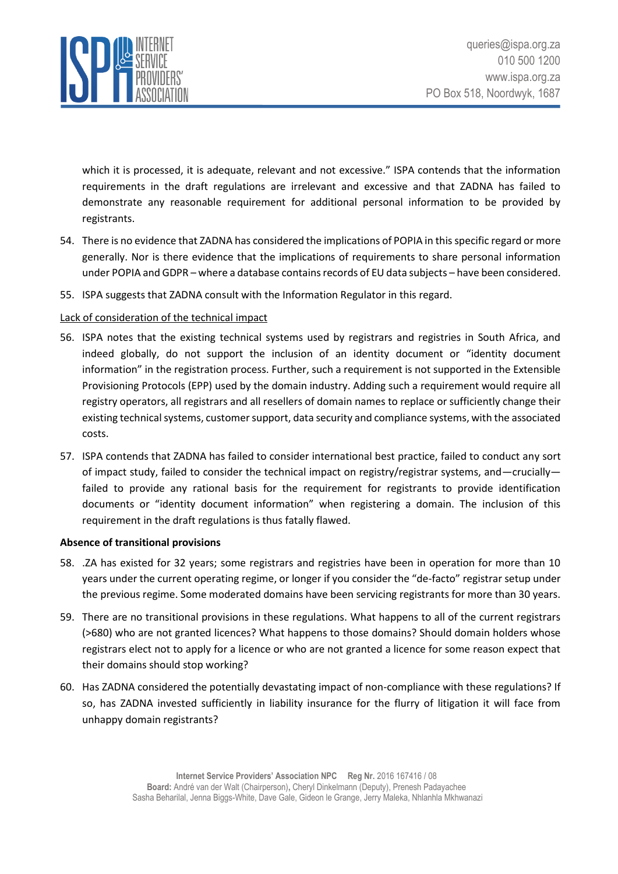

which it is processed, it is adequate, relevant and not excessive." ISPA contends that the information requirements in the draft regulations are irrelevant and excessive and that ZADNA has failed to demonstrate any reasonable requirement for additional personal information to be provided by registrants.

- 54. There is no evidence that ZADNA has considered the implications of POPIA in thisspecific regard or more generally. Nor is there evidence that the implications of requirements to share personal information under POPIA and GDPR – where a database contains records of EU data subjects – have been considered.
- 55. ISPA suggests that ZADNA consult with the Information Regulator in this regard.

## Lack of consideration of the technical impact

- 56. ISPA notes that the existing technical systems used by registrars and registries in South Africa, and indeed globally, do not support the inclusion of an identity document or "identity document information" in the registration process. Further, such a requirement is not supported in the Extensible Provisioning Protocols (EPP) used by the domain industry. Adding such a requirement would require all registry operators, all registrars and all resellers of domain names to replace or sufficiently change their existing technical systems, customer support, data security and compliance systems, with the associated costs.
- 57. ISPA contends that ZADNA has failed to consider international best practice, failed to conduct any sort of impact study, failed to consider the technical impact on registry/registrar systems, and—crucially failed to provide any rational basis for the requirement for registrants to provide identification documents or "identity document information" when registering a domain. The inclusion of this requirement in the draft regulations is thus fatally flawed.

#### <span id="page-12-0"></span>**Absence of transitional provisions**

- 58. .ZA has existed for 32 years; some registrars and registries have been in operation for more than 10 years under the current operating regime, or longer if you consider the "de-facto" registrar setup under the previous regime. Some moderated domains have been servicing registrants for more than 30 years.
- 59. There are no transitional provisions in these regulations. What happens to all of the current registrars (>680) who are not granted licences? What happens to those domains? Should domain holders whose registrars elect not to apply for a licence or who are not granted a licence for some reason expect that their domains should stop working?
- 60. Has ZADNA considered the potentially devastating impact of non-compliance with these regulations? If so, has ZADNA invested sufficiently in liability insurance for the flurry of litigation it will face from unhappy domain registrants?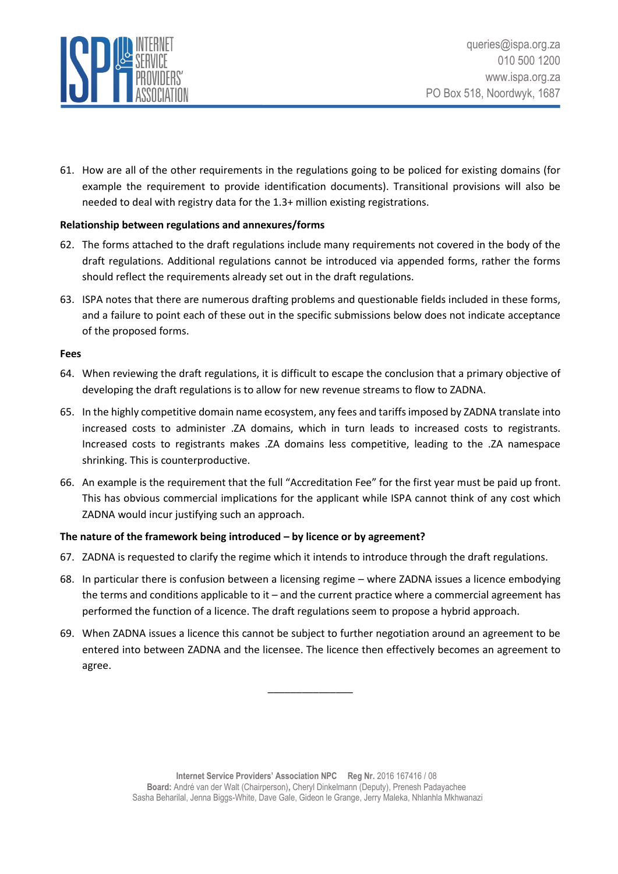

61. How are all of the other requirements in the regulations going to be policed for existing domains (for example the requirement to provide identification documents). Transitional provisions will also be needed to deal with registry data for the 1.3+ million existing registrations.

## <span id="page-13-0"></span>**Relationship between regulations and annexures/forms**

- 62. The forms attached to the draft regulations include many requirements not covered in the body of the draft regulations. Additional regulations cannot be introduced via appended forms, rather the forms should reflect the requirements already set out in the draft regulations.
- 63. ISPA notes that there are numerous drafting problems and questionable fields included in these forms, and a failure to point each of these out in the specific submissions below does not indicate acceptance of the proposed forms.

#### <span id="page-13-1"></span>**Fees**

- 64. When reviewing the draft regulations, it is difficult to escape the conclusion that a primary objective of developing the draft regulations is to allow for new revenue streams to flow to ZADNA.
- 65. In the highly competitive domain name ecosystem, any fees and tariffs imposed by ZADNA translate into increased costs to administer .ZA domains, which in turn leads to increased costs to registrants. Increased costs to registrants makes .ZA domains less competitive, leading to the .ZA namespace shrinking. This is counterproductive.
- 66. An example is the requirement that the full "Accreditation Fee" for the first year must be paid up front. This has obvious commercial implications for the applicant while ISPA cannot think of any cost which ZADNA would incur justifying such an approach.

## <span id="page-13-2"></span>**The nature of the framework being introduced – by licence or by agreement?**

- 67. ZADNA is requested to clarify the regime which it intends to introduce through the draft regulations.
- 68. In particular there is confusion between a licensing regime where ZADNA issues a licence embodying the terms and conditions applicable to it – and the current practice where a commercial agreement has performed the function of a licence. The draft regulations seem to propose a hybrid approach.
- 69. When ZADNA issues a licence this cannot be subject to further negotiation around an agreement to be entered into between ZADNA and the licensee. The licence then effectively becomes an agreement to agree.

\_\_\_\_\_\_\_\_\_\_\_\_\_\_\_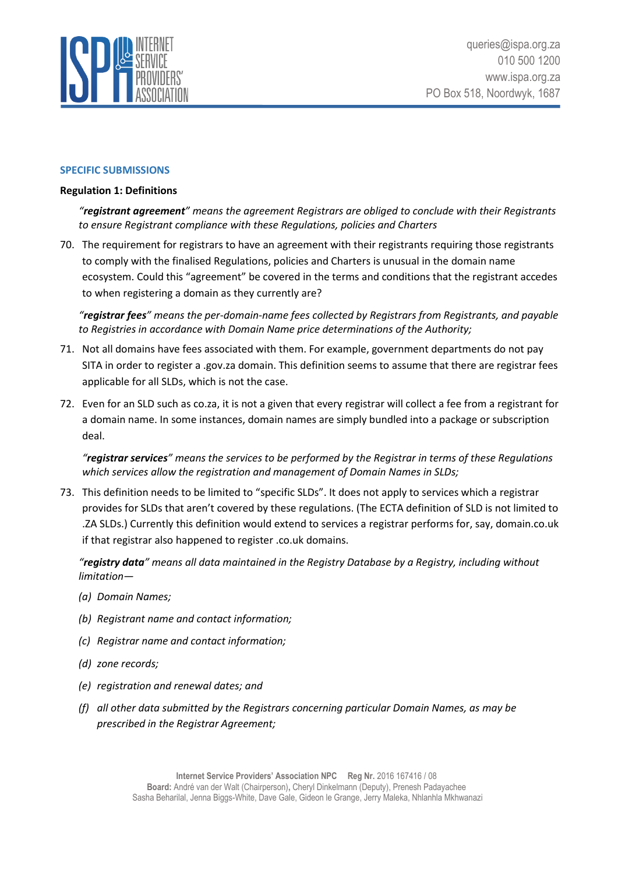

#### <span id="page-14-0"></span>**SPECIFIC SUBMISSIONS**

#### <span id="page-14-1"></span>**Regulation 1: Definitions**

*"registrant agreement" means the agreement Registrars are obliged to conclude with their Registrants to ensure Registrant compliance with these Regulations, policies and Charters*

70. The requirement for registrars to have an agreement with their registrants requiring those registrants to comply with the finalised Regulations, policies and Charters is unusual in the domain name ecosystem. Could this "agreement" be covered in the terms and conditions that the registrant accedes to when registering a domain as they currently are?

*"registrar fees" means the per-domain-name fees collected by Registrars from Registrants, and payable to Registries in accordance with Domain Name price determinations of the Authority;*

- 71. Not all domains have fees associated with them. For example, government departments do not pay SITA in order to register a .gov.za domain. This definition seems to assume that there are registrar fees applicable for all SLDs, which is not the case.
- 72. Even for an SLD such as co.za, it is not a given that every registrar will collect a fee from a registrant for a domain name. In some instances, domain names are simply bundled into a package or subscription deal.

*"registrar services" means the services to be performed by the Registrar in terms of these Regulations which services allow the registration and management of Domain Names in SLDs;*

73. This definition needs to be limited to "specific SLDs". It does not apply to services which a registrar provides for SLDs that aren't covered by these regulations. (The ECTA definition of SLD is not limited to .ZA SLDs.) Currently this definition would extend to services a registrar performs for, say, domain.co.uk if that registrar also happened to register .co.uk domains.

*"registry data" means all data maintained in the Registry Database by a Registry, including without limitation—*

- *(a) Domain Names;*
- *(b) Registrant name and contact information;*
- *(c) Registrar name and contact information;*
- *(d) zone records;*
- *(e) registration and renewal dates; and*
- *(f) all other data submitted by the Registrars concerning particular Domain Names, as may be prescribed in the Registrar Agreement;*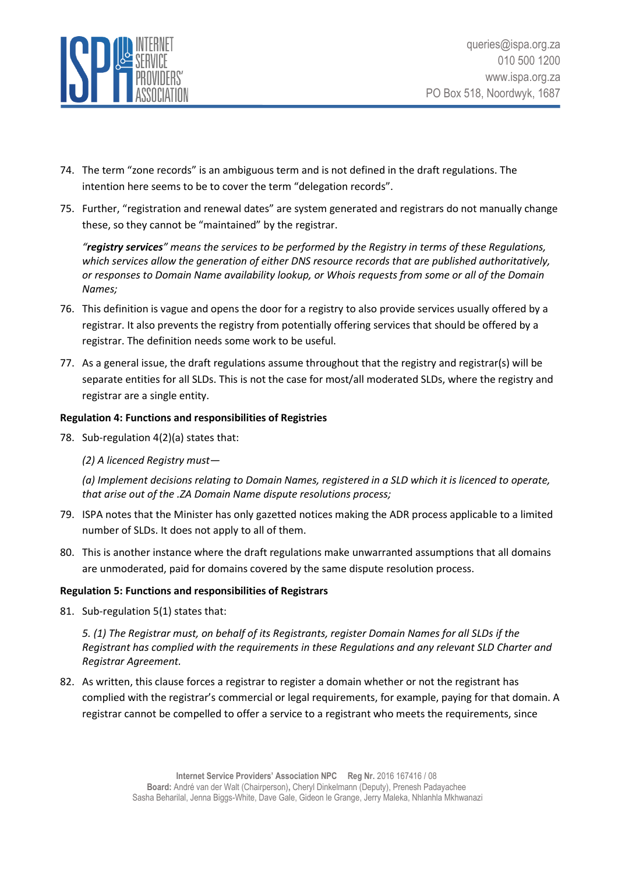

- 74. The term "zone records" is an ambiguous term and is not defined in the draft regulations. The intention here seems to be to cover the term "delegation records".
- 75. Further, "registration and renewal dates" are system generated and registrars do not manually change these, so they cannot be "maintained" by the registrar.

*"registry services" means the services to be performed by the Registry in terms of these Regulations, which services allow the generation of either DNS resource records that are published authoritatively, or responses to Domain Name availability lookup, or Whois requests from some or all of the Domain Names;*

- 76. This definition is vague and opens the door for a registry to also provide services usually offered by a registrar. It also prevents the registry from potentially offering services that should be offered by a registrar. The definition needs some work to be useful.
- 77. As a general issue, the draft regulations assume throughout that the registry and registrar(s) will be separate entities for all SLDs. This is not the case for most/all moderated SLDs, where the registry and registrar are a single entity.

## <span id="page-15-0"></span>**Regulation 4: Functions and responsibilities of Registries**

78. Sub-regulation 4(2)(a) states that:

## *(2) A licenced Registry must—*

*(a) Implement decisions relating to Domain Names, registered in a SLD which it is licenced to operate, that arise out of the .ZA Domain Name dispute resolutions process;*

- 79. ISPA notes that the Minister has only gazetted notices making the ADR process applicable to a limited number of SLDs. It does not apply to all of them.
- 80. This is another instance where the draft regulations make unwarranted assumptions that all domains are unmoderated, paid for domains covered by the same dispute resolution process.

#### <span id="page-15-1"></span>**Regulation 5: Functions and responsibilities of Registrars**

81. Sub-regulation 5(1) states that:

*5. (1) The Registrar must, on behalf of its Registrants, register Domain Names for all SLDs if the Registrant has complied with the requirements in these Regulations and any relevant SLD Charter and Registrar Agreement.*

82. As written, this clause forces a registrar to register a domain whether or not the registrant has complied with the registrar's commercial or legal requirements, for example, paying for that domain. A registrar cannot be compelled to offer a service to a registrant who meets the requirements, since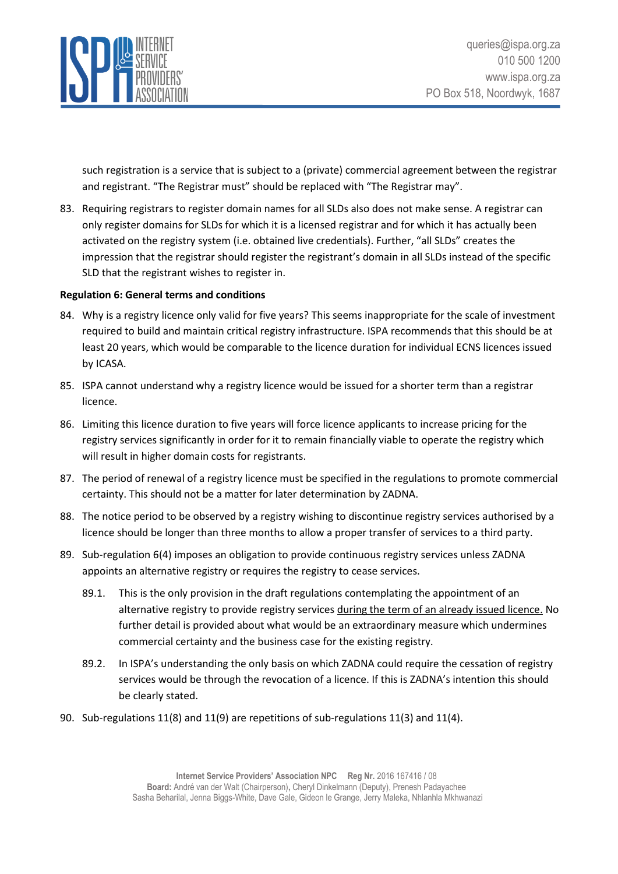

such registration is a service that is subject to a (private) commercial agreement between the registrar and registrant. "The Registrar must" should be replaced with "The Registrar may".

83. Requiring registrars to register domain names for all SLDs also does not make sense. A registrar can only register domains for SLDs for which it is a licensed registrar and for which it has actually been activated on the registry system (i.e. obtained live credentials). Further, "all SLDs" creates the impression that the registrar should register the registrant's domain in all SLDs instead of the specific SLD that the registrant wishes to register in.

## <span id="page-16-0"></span>**Regulation 6: General terms and conditions**

- 84. Why is a registry licence only valid for five years? This seems inappropriate for the scale of investment required to build and maintain critical registry infrastructure. ISPA recommends that this should be at least 20 years, which would be comparable to the licence duration for individual ECNS licences issued by ICASA.
- 85. ISPA cannot understand why a registry licence would be issued for a shorter term than a registrar licence.
- 86. Limiting this licence duration to five years will force licence applicants to increase pricing for the registry services significantly in order for it to remain financially viable to operate the registry which will result in higher domain costs for registrants.
- 87. The period of renewal of a registry licence must be specified in the regulations to promote commercial certainty. This should not be a matter for later determination by ZADNA.
- 88. The notice period to be observed by a registry wishing to discontinue registry services authorised by a licence should be longer than three months to allow a proper transfer of services to a third party.
- 89. Sub-regulation 6(4) imposes an obligation to provide continuous registry services unless ZADNA appoints an alternative registry or requires the registry to cease services.
	- 89.1. This is the only provision in the draft regulations contemplating the appointment of an alternative registry to provide registry services during the term of an already issued licence. No further detail is provided about what would be an extraordinary measure which undermines commercial certainty and the business case for the existing registry.
	- 89.2. In ISPA's understanding the only basis on which ZADNA could require the cessation of registry services would be through the revocation of a licence. If this is ZADNA's intention this should be clearly stated.
- 90. Sub-regulations 11(8) and 11(9) are repetitions of sub-regulations 11(3) and 11(4).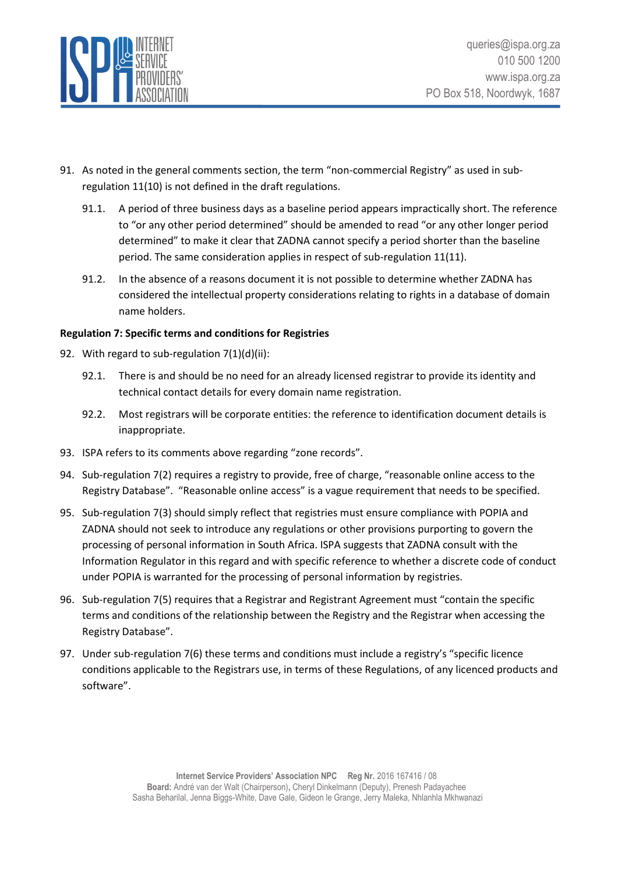

- 91. As noted in the general comments section, the term "non-commercial Registry" as used in subregulation 11(10) is not defined in the draft regulations.
	- 91.1. A period of three business days as a baseline period appears impractically short. The reference to "or any other period determined" should be amended to read "or any other longer period determined" to make it clear that ZADNA cannot specify a period shorter than the baseline period. The same consideration applies in respect of sub-regulation 11(11).
	- 91.2. In the absence of a reasons document it is not possible to determine whether ZADNA has considered the intellectual property considerations relating to rights in a database of domain name holders.

## <span id="page-17-0"></span>**Regulation 7: Specific terms and conditions for Registries**

- 92. With regard to sub-regulation 7(1)(d)(ii):
	- 92.1. There is and should be no need for an already licensed registrar to provide its identity and technical contact details for every domain name registration.
	- 92.2. Most registrars will be corporate entities: the reference to identification document details is inappropriate.
- 93. ISPA refers to its comments above regarding "zone records".
- 94. Sub-regulation 7(2) requires a registry to provide, free of charge, "reasonable online access to the Registry Database". "Reasonable online access" is a vague requirement that needs to be specified.
- 95. Sub-regulation 7(3) should simply reflect that registries must ensure compliance with POPIA and ZADNA should not seek to introduce any regulations or other provisions purporting to govern the processing of personal information in South Africa. ISPA suggests that ZADNA consult with the Information Regulator in this regard and with specific reference to whether a discrete code of conduct under POPIA is warranted for the processing of personal information by registries.
- 96. Sub-regulation 7(5) requires that a Registrar and Registrant Agreement must "contain the specific terms and conditions of the relationship between the Registry and the Registrar when accessing the Registry Database".
- 97. Under sub-regulation 7(6) these terms and conditions must include a registry's "specific licence conditions applicable to the Registrars use, in terms of these Regulations, of any licenced products and software".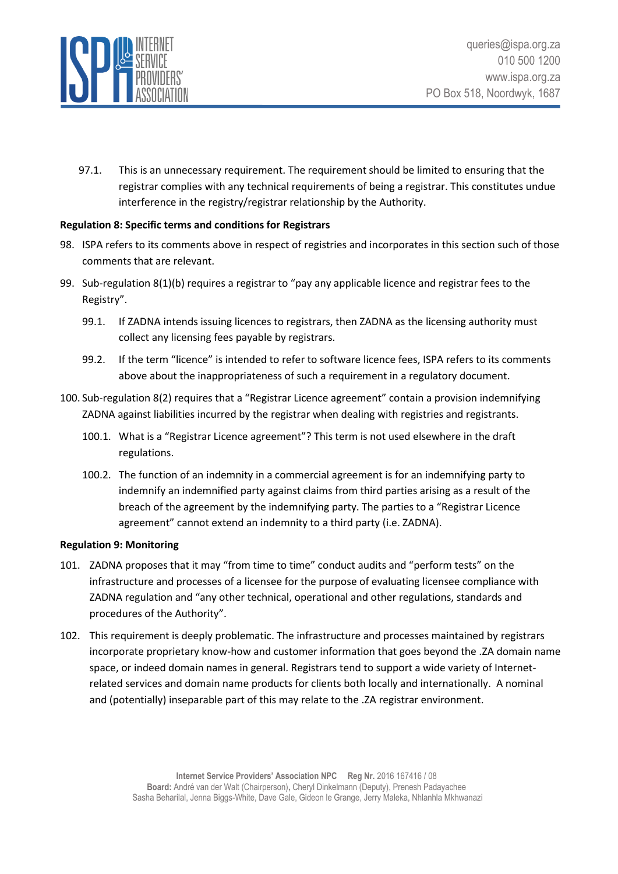

97.1. This is an unnecessary requirement. The requirement should be limited to ensuring that the registrar complies with any technical requirements of being a registrar. This constitutes undue interference in the registry/registrar relationship by the Authority.

## <span id="page-18-0"></span>**Regulation 8: Specific terms and conditions for Registrars**

- 98. ISPA refers to its comments above in respect of registries and incorporates in this section such of those comments that are relevant.
- 99. Sub-regulation 8(1)(b) requires a registrar to "pay any applicable licence and registrar fees to the Registry".
	- 99.1. If ZADNA intends issuing licences to registrars, then ZADNA as the licensing authority must collect any licensing fees payable by registrars.
	- 99.2. If the term "licence" is intended to refer to software licence fees, ISPA refers to its comments above about the inappropriateness of such a requirement in a regulatory document.
- 100. Sub-regulation 8(2) requires that a "Registrar Licence agreement" contain a provision indemnifying ZADNA against liabilities incurred by the registrar when dealing with registries and registrants.
	- 100.1. What is a "Registrar Licence agreement"? This term is not used elsewhere in the draft regulations.
	- 100.2. The function of an indemnity in a commercial agreement is for an indemnifying party to indemnify an indemnified party against claims from third parties arising as a result of the breach of the agreement by the indemnifying party. The parties to a "Registrar Licence agreement" cannot extend an indemnity to a third party (i.e. ZADNA).

#### <span id="page-18-1"></span>**Regulation 9: Monitoring**

- 101. ZADNA proposes that it may "from time to time" conduct audits and "perform tests" on the infrastructure and processes of a licensee for the purpose of evaluating licensee compliance with ZADNA regulation and "any other technical, operational and other regulations, standards and procedures of the Authority".
- 102. This requirement is deeply problematic. The infrastructure and processes maintained by registrars incorporate proprietary know-how and customer information that goes beyond the .ZA domain name space, or indeed domain names in general. Registrars tend to support a wide variety of Internetrelated services and domain name products for clients both locally and internationally. A nominal and (potentially) inseparable part of this may relate to the .ZA registrar environment.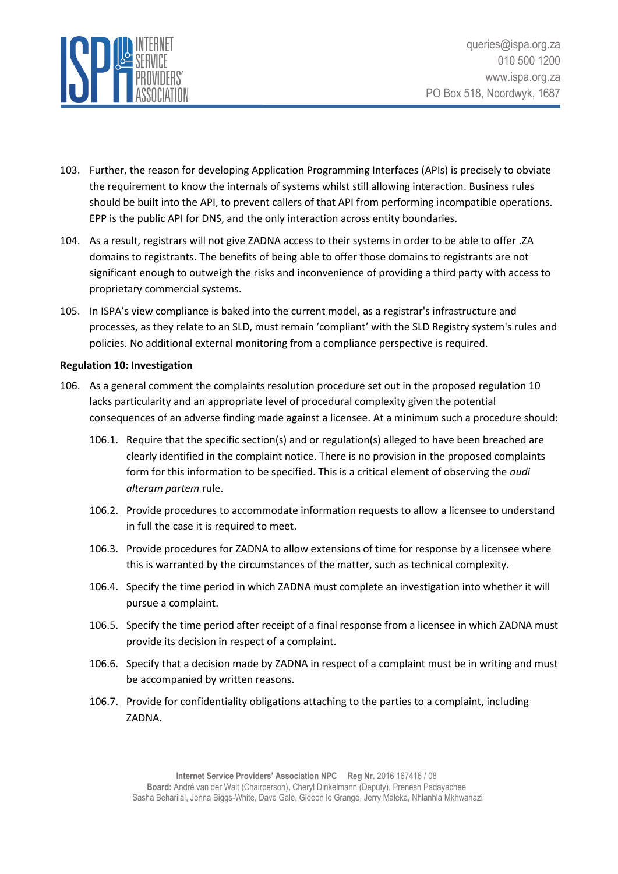

- 103. Further, the reason for developing Application Programming Interfaces (APIs) is precisely to obviate the requirement to know the internals of systems whilst still allowing interaction. Business rules should be built into the API, to prevent callers of that API from performing incompatible operations. EPP is the public API for DNS, and the only interaction across entity boundaries.
- 104. As a result, registrars will not give ZADNA access to their systems in order to be able to offer .ZA domains to registrants. The benefits of being able to offer those domains to registrants are not significant enough to outweigh the risks and inconvenience of providing a third party with access to proprietary commercial systems.
- 105. In ISPA's view compliance is baked into the current model, as a registrar's infrastructure and processes, as they relate to an SLD, must remain 'compliant' with the SLD Registry system's rules and policies. No additional external monitoring from a compliance perspective is required.

#### <span id="page-19-0"></span>**Regulation 10: Investigation**

- 106. As a general comment the complaints resolution procedure set out in the proposed regulation 10 lacks particularity and an appropriate level of procedural complexity given the potential consequences of an adverse finding made against a licensee. At a minimum such a procedure should:
	- 106.1. Require that the specific section(s) and or regulation(s) alleged to have been breached are clearly identified in the complaint notice. There is no provision in the proposed complaints form for this information to be specified. This is a critical element of observing the *audi alteram partem* rule.
	- 106.2. Provide procedures to accommodate information requests to allow a licensee to understand in full the case it is required to meet.
	- 106.3. Provide procedures for ZADNA to allow extensions of time for response by a licensee where this is warranted by the circumstances of the matter, such as technical complexity.
	- 106.4. Specify the time period in which ZADNA must complete an investigation into whether it will pursue a complaint.
	- 106.5. Specify the time period after receipt of a final response from a licensee in which ZADNA must provide its decision in respect of a complaint.
	- 106.6. Specify that a decision made by ZADNA in respect of a complaint must be in writing and must be accompanied by written reasons.
	- 106.7. Provide for confidentiality obligations attaching to the parties to a complaint, including ZADNA.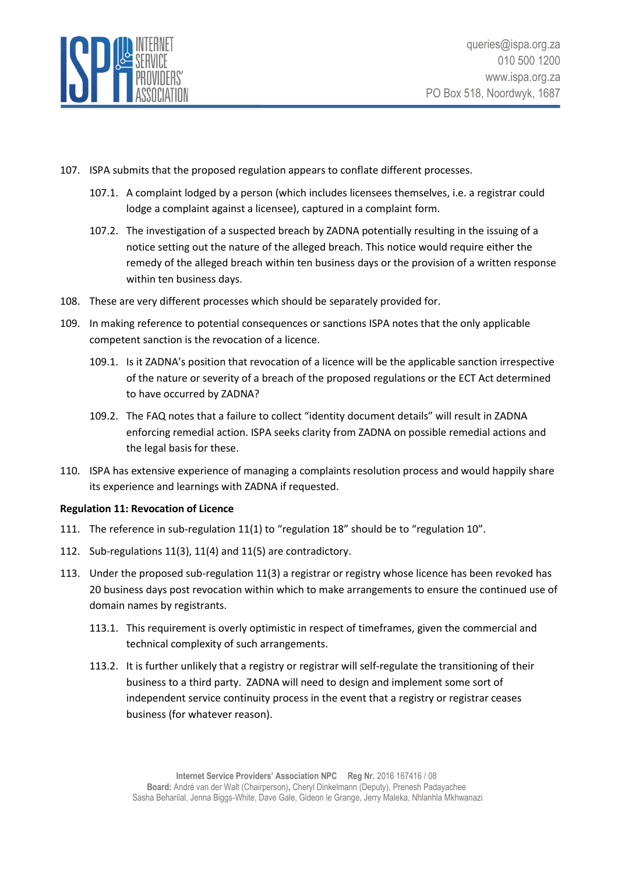

- 107. ISPA submits that the proposed regulation appears to conflate different processes.
	- 107.1. A complaint lodged by a person (which includes licensees themselves, i.e. a registrar could lodge a complaint against a licensee), captured in a complaint form.
	- 107.2. The investigation of a suspected breach by ZADNA potentially resulting in the issuing of a notice setting out the nature of the alleged breach. This notice would require either the remedy of the alleged breach within ten business days or the provision of a written response within ten business days.
- 108. These are very different processes which should be separately provided for.
- 109. In making reference to potential consequences or sanctions ISPA notes that the only applicable competent sanction is the revocation of a licence.
	- 109.1. Is it ZADNA's position that revocation of a licence will be the applicable sanction irrespective of the nature or severity of a breach of the proposed regulations or the ECT Act determined to have occurred by ZADNA?
	- 109.2. The FAQ notes that a failure to collect "identity document details" will result in ZADNA enforcing remedial action. ISPA seeks clarity from ZADNA on possible remedial actions and the legal basis for these.
- 110. ISPA has extensive experience of managing a complaints resolution process and would happily share its experience and learnings with ZADNA if requested.

## <span id="page-20-0"></span>**Regulation 11: Revocation of Licence**

- 111. The reference in sub-regulation 11(1) to "regulation 18" should be to "regulation 10".
- 112. Sub-regulations 11(3), 11(4) and 11(5) are contradictory.
- 113. Under the proposed sub-regulation 11(3) a registrar or registry whose licence has been revoked has 20 business days post revocation within which to make arrangements to ensure the continued use of domain names by registrants.
	- 113.1. This requirement is overly optimistic in respect of timeframes, given the commercial and technical complexity of such arrangements.
	- 113.2. It is further unlikely that a registry or registrar will self-regulate the transitioning of their business to a third party. ZADNA will need to design and implement some sort of independent service continuity process in the event that a registry or registrar ceases business (for whatever reason).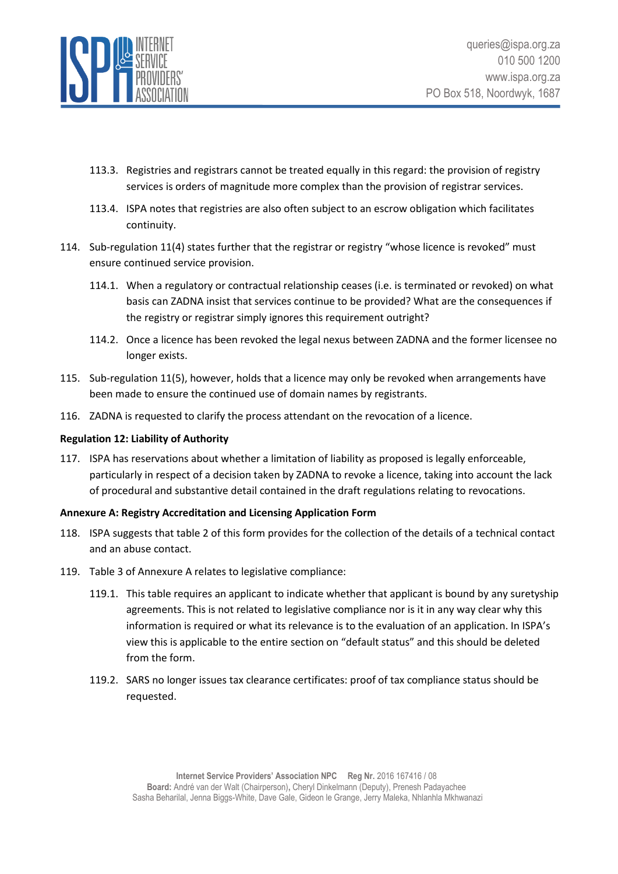

- 113.3. Registries and registrars cannot be treated equally in this regard: the provision of registry services is orders of magnitude more complex than the provision of registrar services.
- 113.4. ISPA notes that registries are also often subject to an escrow obligation which facilitates continuity.
- 114. Sub-regulation 11(4) states further that the registrar or registry "whose licence is revoked" must ensure continued service provision.
	- 114.1. When a regulatory or contractual relationship ceases (i.e. is terminated or revoked) on what basis can ZADNA insist that services continue to be provided? What are the consequences if the registry or registrar simply ignores this requirement outright?
	- 114.2. Once a licence has been revoked the legal nexus between ZADNA and the former licensee no longer exists.
- 115. Sub-regulation 11(5), however, holds that a licence may only be revoked when arrangements have been made to ensure the continued use of domain names by registrants.
- 116. ZADNA is requested to clarify the process attendant on the revocation of a licence.

## <span id="page-21-0"></span>**Regulation 12: Liability of Authority**

117. ISPA has reservations about whether a limitation of liability as proposed is legally enforceable, particularly in respect of a decision taken by ZADNA to revoke a licence, taking into account the lack of procedural and substantive detail contained in the draft regulations relating to revocations.

#### <span id="page-21-1"></span>**Annexure A: Registry Accreditation and Licensing Application Form**

- 118. ISPA suggests that table 2 of this form provides for the collection of the details of a technical contact and an abuse contact.
- 119. Table 3 of Annexure A relates to legislative compliance:
	- 119.1. This table requires an applicant to indicate whether that applicant is bound by any suretyship agreements. This is not related to legislative compliance nor is it in any way clear why this information is required or what its relevance is to the evaluation of an application. In ISPA's view this is applicable to the entire section on "default status" and this should be deleted from the form.
	- 119.2. SARS no longer issues tax clearance certificates: proof of tax compliance status should be requested.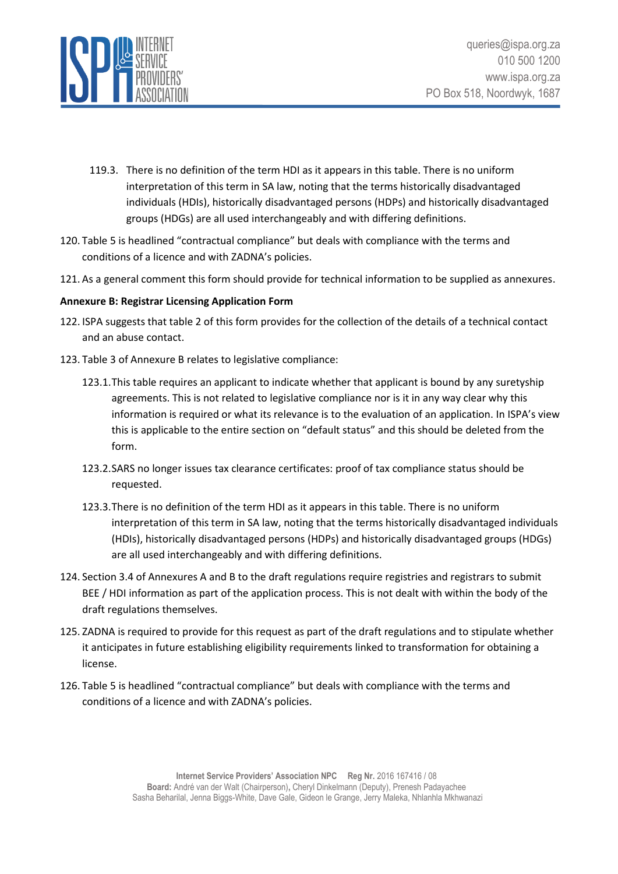

- 119.3. There is no definition of the term HDI as it appears in this table. There is no uniform interpretation of this term in SA law, noting that the terms historically disadvantaged individuals (HDIs), historically disadvantaged persons (HDPs) and historically disadvantaged groups (HDGs) are all used interchangeably and with differing definitions.
- 120. Table 5 is headlined "contractual compliance" but deals with compliance with the terms and conditions of a licence and with ZADNA's policies.
- 121. As a general comment this form should provide for technical information to be supplied as annexures.

## <span id="page-22-0"></span>**Annexure B: Registrar Licensing Application Form**

- 122. ISPA suggests that table 2 of this form provides for the collection of the details of a technical contact and an abuse contact.
- 123. Table 3 of Annexure B relates to legislative compliance:
	- 123.1.This table requires an applicant to indicate whether that applicant is bound by any suretyship agreements. This is not related to legislative compliance nor is it in any way clear why this information is required or what its relevance is to the evaluation of an application. In ISPA's view this is applicable to the entire section on "default status" and this should be deleted from the form.
	- 123.2.SARS no longer issues tax clearance certificates: proof of tax compliance status should be requested.
	- 123.3.There is no definition of the term HDI as it appears in this table. There is no uniform interpretation of this term in SA law, noting that the terms historically disadvantaged individuals (HDIs), historically disadvantaged persons (HDPs) and historically disadvantaged groups (HDGs) are all used interchangeably and with differing definitions.
- 124. Section 3.4 of Annexures A and B to the draft regulations require registries and registrars to submit BEE / HDI information as part of the application process. This is not dealt with within the body of the draft regulations themselves.
- 125. ZADNA is required to provide for this request as part of the draft regulations and to stipulate whether it anticipates in future establishing eligibility requirements linked to transformation for obtaining a license.
- 126. Table 5 is headlined "contractual compliance" but deals with compliance with the terms and conditions of a licence and with ZADNA's policies.